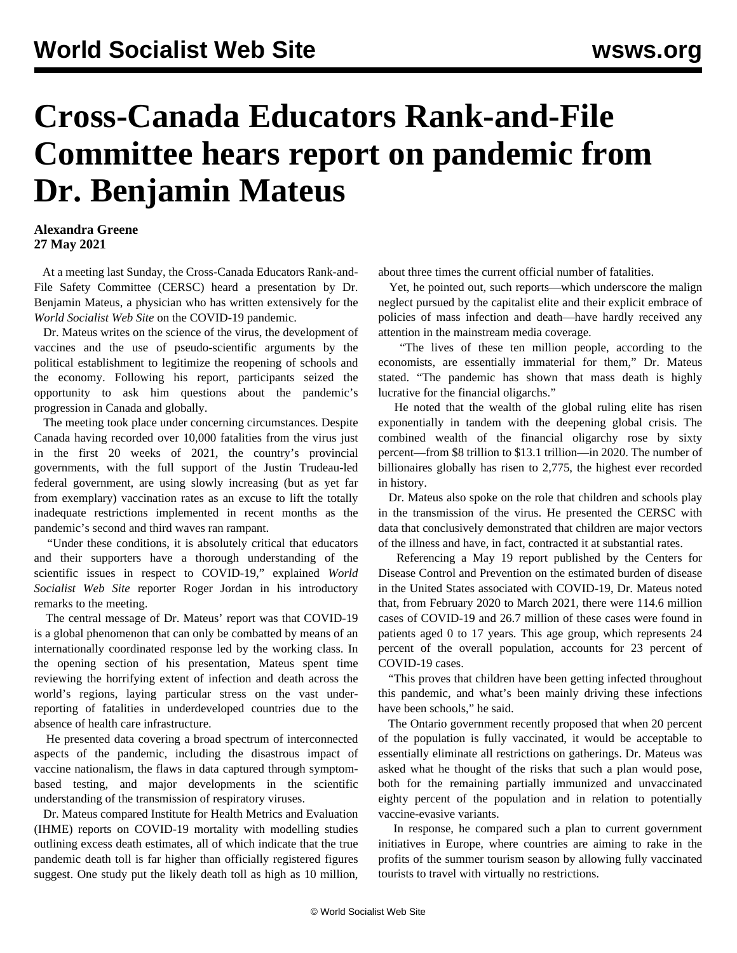## **Cross-Canada Educators Rank-and-File Committee hears report on pandemic from Dr. Benjamin Mateus**

## **Alexandra Greene 27 May 2021**

 At a meeting last Sunday, the Cross-Canada Educators Rank-and-File Safety Committee (CERSC) heard a presentation by Dr. Benjamin Mateus, a physician who has written extensively for the *World Socialist Web Site* on the COVID-19 pandemic.

 Dr. Mateus writes on the science of the virus, the development of vaccines and the use of pseudo-scientific arguments by the political establishment to legitimize the reopening of schools and the economy. Following his report, participants seized the opportunity to ask him questions about the pandemic's progression in Canada and globally.

 The meeting took place under concerning circumstances. Despite Canada having recorded over 10,000 fatalities from the virus just in the first 20 weeks of 2021, the country's provincial governments, with the full support of the Justin Trudeau-led federal government, are using slowly increasing (but as yet far from exemplary) vaccination rates as an excuse to lift the totally inadequate restrictions implemented in recent months as the pandemic's second and third waves ran rampant.

 "Under these conditions, it is absolutely critical that educators and their supporters have a thorough understanding of the scientific issues in respect to COVID-19," explained *World Socialist Web Site* reporter Roger Jordan in his introductory remarks to the meeting.

 The central message of Dr. Mateus' report was that COVID-19 is a global phenomenon that can only be combatted by means of an internationally coordinated response led by the working class. In the opening section of his presentation, Mateus spent time reviewing the horrifying extent of infection and death across the world's regions, laying particular stress on the vast underreporting of fatalities in underdeveloped countries due to the absence of health care infrastructure.

 He presented data covering a broad spectrum of interconnected aspects of the pandemic, including the disastrous impact of vaccine nationalism, the flaws in data captured through symptombased testing, and major developments in the scientific understanding of the transmission of respiratory viruses.

 Dr. Mateus compared Institute for Health Metrics and Evaluation (IHME) reports on COVID-19 mortality with modelling studies outlining excess death estimates, all of which indicate that the true pandemic death toll is far higher than officially registered figures suggest. One study put the likely death toll as high as 10 million,

about three times the current official number of fatalities.

 Yet, he pointed out, such reports—which underscore the malign neglect pursued by the capitalist elite and their explicit embrace of policies of mass infection and death—have hardly received any attention in the mainstream media coverage.

 "The lives of these ten million people, according to the economists, are essentially immaterial for them," Dr. Mateus stated. "The pandemic has shown that mass death is highly lucrative for the financial oligarchs."

 He noted that the wealth of the global ruling elite has risen exponentially in tandem with the deepening global crisis. The combined wealth of the financial oligarchy rose by sixty percent—from \$8 trillion to \$13.1 trillion—in 2020. The number of billionaires globally has risen to 2,775, the highest ever recorded in history.

 Dr. Mateus also spoke on the role that children and schools play in the transmission of the virus. He presented the CERSC with data that conclusively demonstrated that children are major vectors of the illness and have, in fact, contracted it at substantial rates.

 Referencing a May 19 report published by the Centers for Disease Control and Prevention on the estimated burden of disease in the United States associated with COVID-19, Dr. Mateus noted that, from February 2020 to March 2021, there were 114.6 million cases of COVID-19 and 26.7 million of these cases were found in patients aged 0 to 17 years. This age group, which represents 24 percent of the overall population, accounts for 23 percent of COVID-19 cases.

 "This proves that children have been getting infected throughout this pandemic, and what's been mainly driving these infections have been schools," he said.

 The Ontario government recently proposed that when 20 percent of the population is fully vaccinated, it would be acceptable to essentially eliminate all restrictions on gatherings. Dr. Mateus was asked what he thought of the risks that such a plan would pose, both for the remaining partially immunized and unvaccinated eighty percent of the population and in relation to potentially vaccine-evasive variants.

 In response, he compared such a plan to current government initiatives in Europe, where countries are aiming to rake in the profits of the summer tourism season by allowing fully vaccinated tourists to travel with virtually no restrictions.